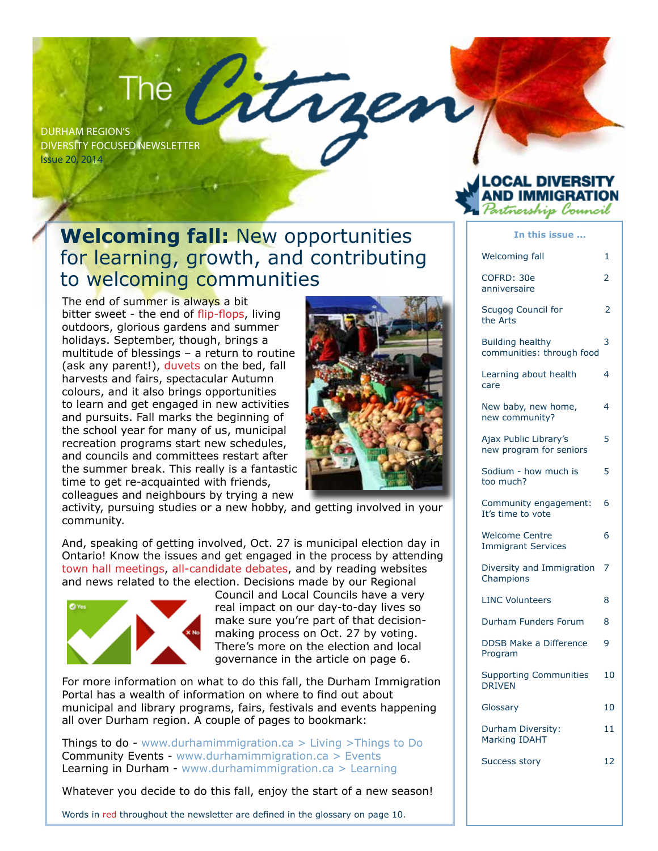# The Catrice

Diversity Focused Newsletter Issue 20, 2014

#### **Welcoming fall:** New opportunities for learning, growth, and contributing to welcoming communities

The end of summer is always a bit bitter sweet - the end of flip-flops, living outdoors, glorious gardens and summer holidays. September, though, brings a multitude of blessings – a return to routine (ask any parent!), duvets on the bed, fall harvests and fairs, spectacular Autumn colours, and it also brings opportunities to learn and get engaged in new activities and pursuits. Fall marks the beginning of the school year for many of us, municipal recreation programs start new schedules, and councils and committees restart after the summer break. This really is a fantastic time to get re-acquainted with friends, colleagues and neighbours by trying a new



activity, pursuing studies or a new hobby, and getting involved in your community.

And, speaking of getting involved, Oct. 27 is municipal election day in Ontario! Know the issues and get engaged in the process by attending town hall meetings, all-candidate debates, and by reading websites and news related to the election. Decisions made by our Regional



Council and Local Councils have a very real impact on our day-to-day lives so make sure you're part of that decisionmaking process on Oct. 27 by voting. There's more on the election and local governance in the article on page 6.

For more information on what to do this fall, the Durham Immigration Portal has a wealth of information on where to find out about municipal and library programs, fairs, festivals and events happening all over Durham region. A couple of pages to bookmark:

Things to do - www.durhamimmigration.ca > Living >Things to Do Community Events - www.durhamimmigration.ca > Events Learning in Durham - www.durhamimmigration.ca > Learning

Whatever you decide to do this fall, enjoy the start of a new season!

Words in red throughout the newsletter are defined in the glossary on page 10.

#### LOCAL DIVERSITY ND IMMIGRAT artnership lonncil

#### **In this issue ...** Welcoming fall 1 COFRD: 30e 2 anniversaire Scugog Council for 2 the Arts Building healthy 3 communities: through food Learning about health 4 care New baby, new home, 4 new community? Ajax Public Library's 5 new program for seniors Sodium - how much is 5 too much? Community engagement: 6 It's time to vote Welcome Centre 6 Immigrant Services Diversity and Immigration 7 Champions LINC Volunteers 8 Durham Funders Forum 8 DDSB Make a Difference 9 Program Supporting Communities 10 DRIVEN Glossary 10 Durham Diversity: 11 Marking IDAHT Success story 12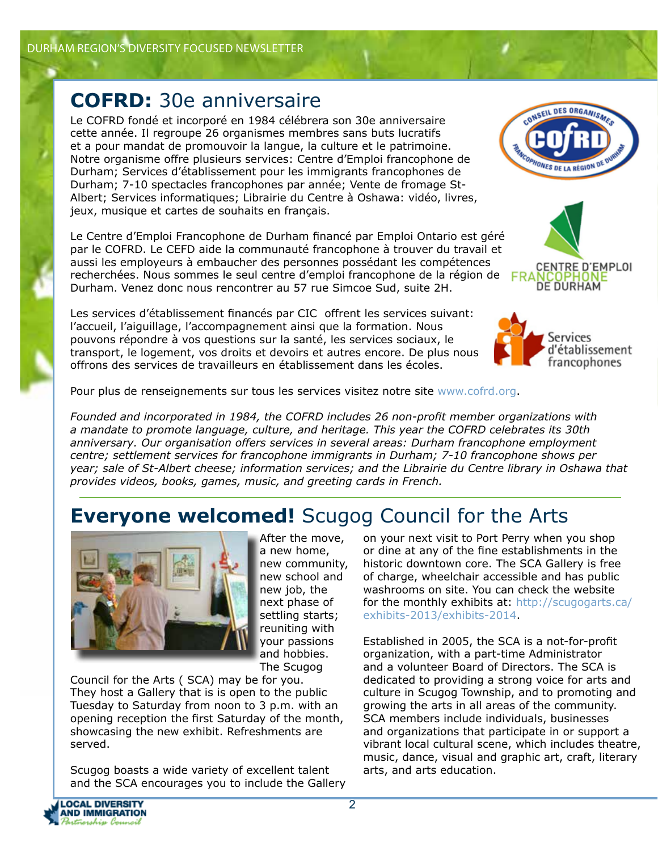# **COFRD:** 30e anniversaire

Le COFRD fondé et incorporé en 1984 célébrera son 30e anniversaire cette année. Il regroupe 26 organismes membres sans buts lucratifs et a pour mandat de promouvoir la langue, la culture et le patrimoine. Notre organisme offre plusieurs services: Centre d'Emploi francophone de Durham; Services d'établissement pour les immigrants francophones de Durham; 7-10 spectacles francophones par année; Vente de fromage St-Albert; Services informatiques; Librairie du Centre à Oshawa: vidéo, livres, jeux, musique et cartes de souhaits en français.

Le Centre d'Emploi Francophone de Durham financé par Emploi Ontario est géré par le COFRD. Le CEFD aide la communauté francophone à trouver du travail et aussi les employeurs à embaucher des personnes possédant les compétences recherchées. Nous sommes le seul centre d'emploi francophone de la région de Durham. Venez donc nous rencontrer au 57 rue Simcoe Sud, suite 2H.

Les services d'établissement financés par CIC offrent les services suivant: l'accueil, l'aiguillage, l'accompagnement ainsi que la formation. Nous pouvons répondre à vos questions sur la santé, les services sociaux, le transport, le logement, vos droits et devoirs et autres encore. De plus nous offrons des services de travailleurs en établissement dans les écoles.

Pour plus de renseignements sur tous les services visitez notre site www.cofrd.org.

*Founded and incorporated in 1984, the COFRD includes 26 non-profit member organizations with a mandate to promote language, culture, and heritage. This year the COFRD celebrates its 30th anniversary. Our organisation offers services in several areas: Durham francophone employment centre; settlement services for francophone immigrants in Durham; 7-10 francophone shows per year; sale of St-Albert cheese; information services; and the Librairie du Centre library in Oshawa that provides videos, books, games, music, and greeting cards in French.*

# **Everyone welcomed!** Scugog Council for the Arts



After the move, a new home, new community, new school and new job, the next phase of settling starts; reuniting with your passions and hobbies. The Scugog

Council for the Arts ( SCA) may be for you. They host a Gallery that is is open to the public Tuesday to Saturday from noon to 3 p.m. with an opening reception the first Saturday of the month, showcasing the new exhibit. Refreshments are served.

Scugog boasts a wide variety of excellent talent and the SCA encourages you to include the Gallery on your next visit to Port Perry when you shop or dine at any of the fine establishments in the historic downtown core. The SCA Gallery is free of charge, wheelchair accessible and has public washrooms on site. You can check the website for the monthly exhibits at: http://scugogarts.ca/ exhibits-2013/exhibits-2014.

Established in 2005, the SCA is a not-for-profit organization, with a part-time Administrator and a volunteer Board of Directors. The SCA is dedicated to providing a strong voice for arts and culture in Scugog Township, and to promoting and growing the arts in all areas of the community. SCA members include individuals, businesses and organizations that participate in or support a vibrant local cultural scene, which includes theatre, music, dance, visual and graphic art, craft, literary arts, and arts education.







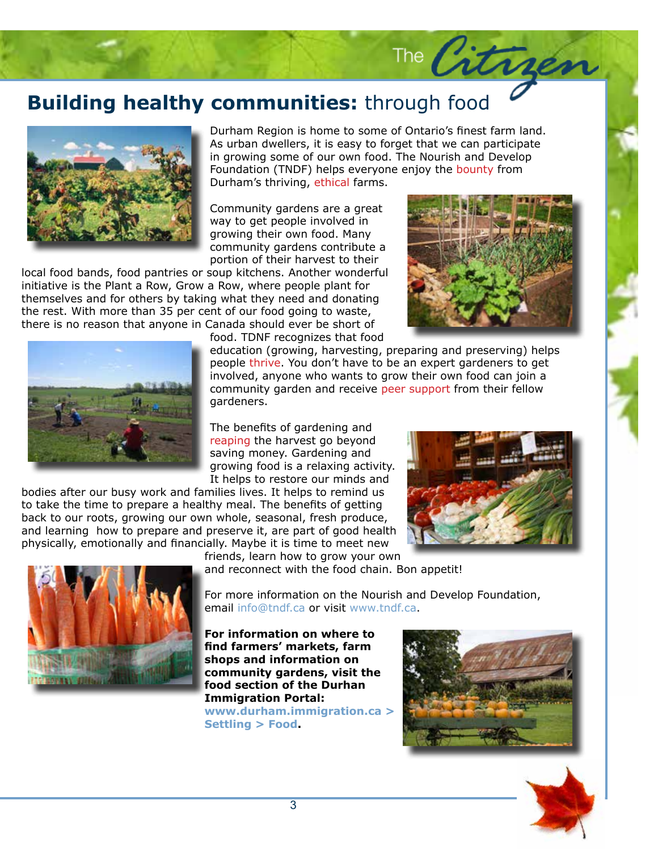# **Building healthy communities:** through food



As urban dwellers, it is easy to forget that we can participate<br>in growing some of our own food. The Nourish and Develop Durham Region is home to some of Ontario's finest farm land. in growing some of our own food. The Nourish and Develop Foundation (TNDF) helps everyone enjoy the bounty from Durham's thriving, ethical farms.

Community gardens are a great way to get people involved in growing their own food. Many community gardens contribute a portion of their harvest to their

local food bands, food pantries or soup kitchens. Another wonderful initiative is the Plant a Row, Grow a Row, where people plant for themselves and for others by taking what they need and donating the rest. With more than 35 per cent of our food going to waste, there is no reason that anyone in Canada should ever be short of



The Citrges



food. TDNF recognizes that food

ning and preserving) helps<br>۱ expert gardeners to get involved, anyone who wants to grow their own food can join a<br>community garden and receive peer support from their fellow<br>cardenars education (growing, harvesting, preparing and preserving) helps people thrive. You don't have to be an expert gardeners to get involved, anyone who wants to grow their own food can join a gardeners.

The benefits of gardening and reaping the harvest go beyond saving money. Gardening and growing food is a relaxing activity. It helps to restore our minds and

bodies after our busy work and families lives. It helps to remind us to take the time to prepare a healthy meal. The benefits of getting back to our roots, growing our own whole, seasonal, fresh produce, and learning how to prepare and preserve it, are part of good health physically, emotionally and financially. Maybe it is time to meet new



friends, learn how to grow your own



and reconnect with the food chain. Bon appetit!

For more information on the Nourish and Develop Foundation, email info@tndf.ca or visit www.tndf.ca.

**For information on where to find farmers' markets, farm shops and information on community gardens, visit the food section of the Durhan Immigration Portal: www.durham.immigration.ca > Settling > Food.**



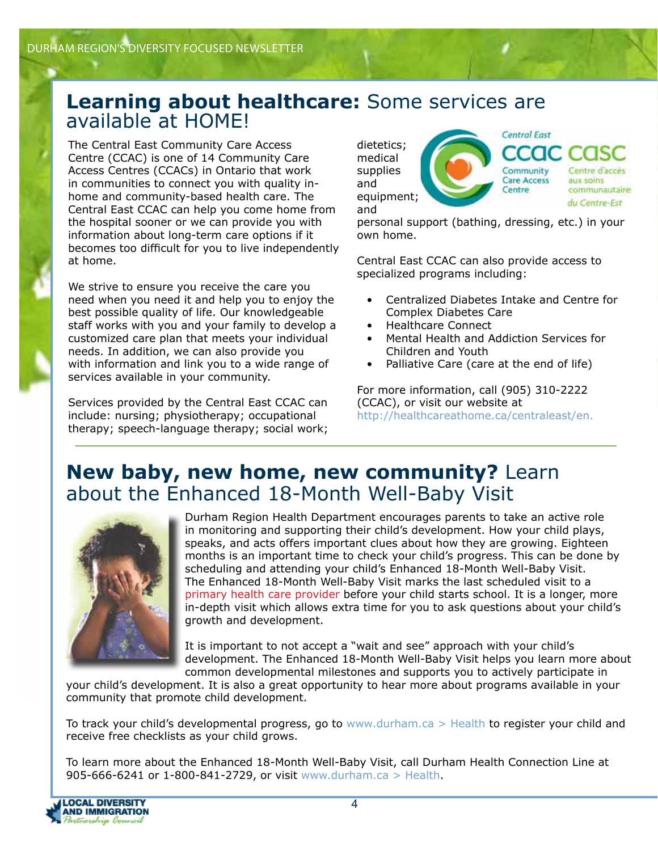#### **Learning about healthcare:** Some services are available at HOME!

The Central East Community Care Access Centre (CCAC) is one of 14 Community Care Access Centres (CCACs) in Ontario that work in communities to connect you with quality inhome and community-based health care. The Central East CCAC can help you come home from the hospital sooner or we can provide you with information about long-term care options if it becomes too difficult for you to live independently at home.

We strive to ensure you receive the care you need when you need it and help you to enjoy the best possible quality of life. Our knowledgeable staff works with you and your family to develop a customized care plan that meets your individual needs. In addition, we can also provide you with information and link you to a wide range of services available in your community.

Services provided by the Central East CCAC can include: nursing; physiotherapy; occupational therapy; speech-language therapy; social work;

**Central East** dietetics; CIC. medical supplies Community Centre d'acce **Care Access** aux soins and Centre communautaire equipment; du Centre-Est and

personal support (bathing, dressing, etc.) in your own home.

Central East CCAC can also provide access to specialized programs including:

- Centralized Diabetes Intake and Centre for Complex Diabetes Care
- Healthcare Connect
- Mental Health and Addiction Services for Children and Youth
- Palliative Care (care at the end of life)

For more information, call (905) 310-2222 (CCAC), or visit our website at http://healthcareathome.ca/centraleast/en.

#### **New baby, new home, new community?** Learn about the Enhanced 18-Month Well-Baby Visit



Durham Region Health Department encourages parents to take an active role in monitoring and supporting their child's development. How your child plays, speaks, and acts offers important clues about how they are growing. Eighteen months is an important time to check your child's progress. This can be done by scheduling and attending your child's Enhanced 18-Month Well-Baby Visit. The Enhanced 18-Month Well-Baby Visit marks the last scheduled visit to a primary health care provider before your child starts school. It is a longer, more in-depth visit which allows extra time for you to ask questions about your child's growth and development.

It is important to not accept a "wait and see" approach with your child's development. The Enhanced 18-Month Well-Baby Visit helps you learn more about common developmental milestones and supports you to actively participate in

your child's development. It is also a great opportunity to hear more about programs available in your community that promote child development.

To track your child's developmental progress, go to www.durham.ca > Health to register your child and receive free checklists as your child grows.

To learn more about the Enhanced 18-Month Well-Baby Visit, call Durham Health Connection Line at 905-666-6241 or 1-800-841-2729, or visit www.durham.ca > Health.

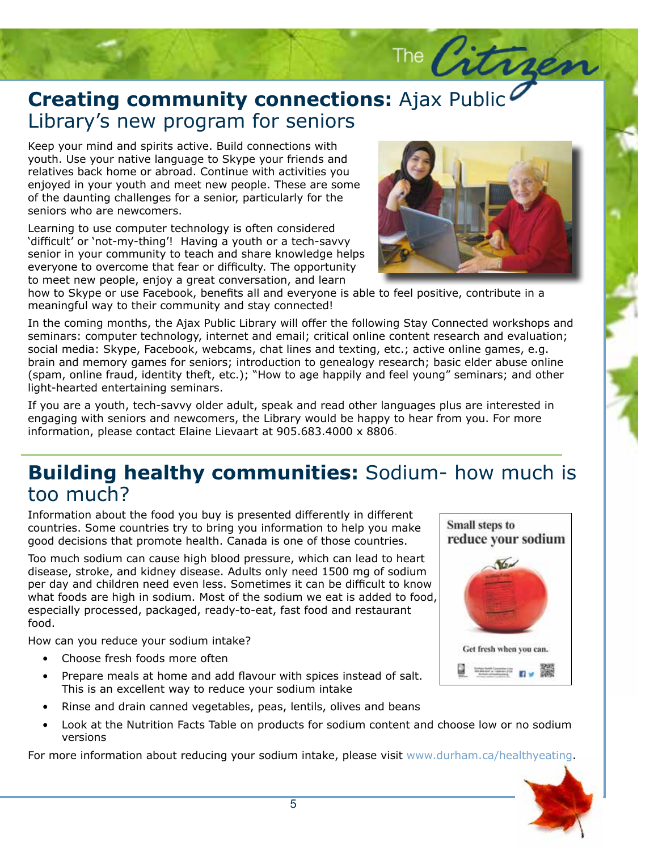### **Creating community connectionally Storage Story's new program for seniors Creating community connections:** Ajax Public

Keep your mind and spirits active. Build connections with youth. Use your native language to Skype your friends an youth. Use your native language to Skype your friends and relatives back home or abroad. Continue with activities you enjoyed in your youth and meet new people. These are some of the daunting challenges for a senior, particularly for the seniors who are newcomers.

Learning to use computer technology is often considered 'difficult' or 'not-my-thing'! Having a youth or a tech-savvy senior in your community to teach and share knowledge helps everyone to overcome that fear or difficulty. The opportunity to meet new people, enjoy a great conversation, and learn

how to Skype or use Facebook, benefits all and everyone is able to feel positive, contribute in a meaningful way to their community and stay connected!

In the coming months, the Ajax Public Library will offer the following Stay Connected workshops and<br>seminars: computer technology, internet and email; critical online content research and evaluation;<br>social media: Skyne, E brain and memory games for seniors; introduction to genealogy research; basic elder abuse online<br>(spam, online fraud, identity theft, etc.); "How to age happily and feel young" seminars; and other In the coming months, the Ajax Public Library will offer the following Stay Connected workshops and social media: Skype, Facebook, webcams, chat lines and texting, etc.; active online games, e.g. (spam, online fraud, identity theft, etc.); "How to age happily and feel young" seminars; and other light-hearted entertaining seminars.

If you are a youth, tech-savvy older adult, speak and read other languages plus are interested in engaging with seniors and newcomers, the Library would be happy to hear from you. For more information, please contact Elaine Lievaart at 905.683.4000 x 8806.

#### **Building healthy communities:** Sodium- how much is too much?

Information about the food you buy is presented differently in different countries. Some countries try to bring you information to help you make good decisions that promote health. Canada is one of those countries.

Too much sodium can cause high blood pressure, which can lead to heart disease, stroke, and kidney disease. Adults only need 1500 mg of sodium per day and children need even less. Sometimes it can be difficult to know what foods are high in sodium. Most of the sodium we eat is added to food, especially processed, packaged, ready-to-eat, fast food and restaurant food.

How can you reduce your sodium intake?

- Choose fresh foods more often
- Prepare meals at home and add flavour with spices instead of salt. This is an excellent way to reduce your sodium intake
- Rinse and drain canned vegetables, peas, lentils, olives and beans
- Look at the Nutrition Facts Table on products for sodium content and choose low or no sodium versions

For more information about reducing your sodium intake, please visit www.durham.ca/healthyeating.





The Citrier

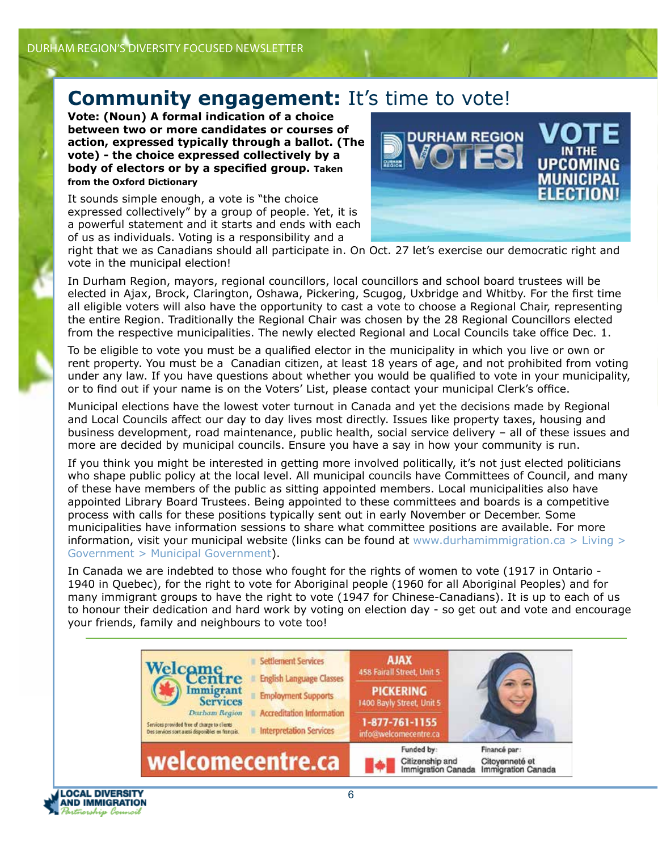#### **Community engagement:** It's time to vote!

**Vote: (Noun) A formal indication of a choice between two or more candidates or courses of action, expressed typically through a ballot. (The vote) - the choice expressed collectively by a body of electors or by a specified group. Taken from the Oxford Dictionary**

It sounds simple enough, a vote is "the choice expressed collectively" by a group of people. Yet, it is a powerful statement and it starts and ends with each of us as individuals. Voting is a responsibility and a



right that we as Canadians should all participate in. On Oct. 27 let's exercise our democratic right and vote in the municipal election!

In Durham Region, mayors, regional councillors, local councillors and school board trustees will be elected in Ajax, Brock, Clarington, Oshawa, Pickering, Scugog, Uxbridge and Whitby. For the first time all eligible voters will also have the opportunity to cast a vote to choose a Regional Chair, representing the entire Region. Traditionally the Regional Chair was chosen by the 28 Regional Councillors elected from the respective municipalities. The newly elected Regional and Local Councils take office Dec. 1.

To be eligible to vote you must be a qualified elector in the municipality in which you live or own or rent property. You must be a Canadian citizen, at least 18 years of age, and not prohibited from voting under any law. If you have questions about whether you would be qualified to vote in your municipality, or to find out if your name is on the Voters' List, please contact your municipal Clerk's office.

Municipal elections have the lowest voter turnout in Canada and yet the decisions made by Regional and Local Councils affect our day to day lives most directly. Issues like property taxes, housing and business development, road maintenance, public health, social service delivery – all of these issues and more are decided by municipal councils. Ensure you have a say in how your community is run.

If you think you might be interested in getting more involved politically, it's not just elected politicians who shape public policy at the local level. All municipal councils have Committees of Council, and many of these have members of the public as sitting appointed members. Local municipalities also have appointed Library Board Trustees. Being appointed to these committees and boards is a competitive process with calls for these positions typically sent out in early November or December. Some municipalities have information sessions to share what committee positions are available. For more information, visit your municipal website (links can be found at www.durhamimmigration.ca  $>$  Living  $>$ Government > Municipal Government).

In Canada we are indebted to those who fought for the rights of women to vote (1917 in Ontario - 1940 in Quebec), for the right to vote for Aboriginal people (1960 for all Aboriginal Peoples) and for many immigrant groups to have the right to vote (1947 for Chinese-Canadians). It is up to each of us to honour their dedication and hard work by voting on election day - so get out and vote and encourage your friends, family and neighbours to vote too!



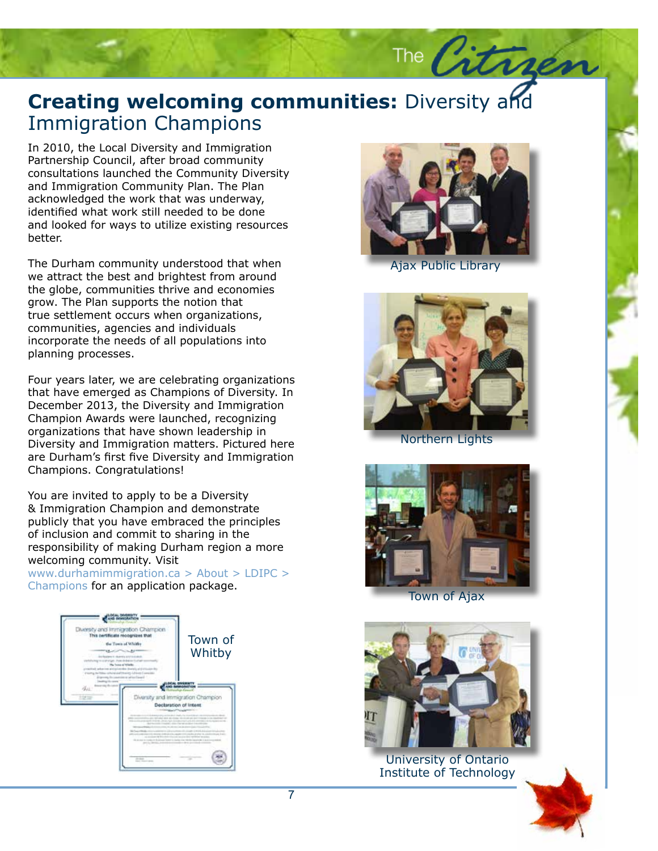### **Creating welcoming communities:** Diversity and Immigration Champions Immigration Champions

In 2010, the Local Diversity and Immigration<br>Partnership Council, after broad community Partnership Council, after broad community consultations launched the Community Diversity and Immigration Community Plan. The Plan acknowledged the work that was underway, identified what work still needed to be done and looked for ways to utilize existing resources better.

The Durham community understood that when we attract the best and brightest from around the globe, communities thrive and economies grow. The Plan supports the notion that true settlement occurs when organizations, communities, agencies and individuals incorporate the needs of all populations into planning processes.

Four years later, we are celebrating organizations that have emerged as Champions of Diversity. In December 2013, the Diversity and Immigration Champion Awards were launched, recognizing organizations that have shown leadership in Diversity and Immigration matters. Pictured here are Durham's first five Diversity and Immigration Champions. Congratulations!

You are invited to apply to be a Diversity & Immigration Champion and demonstrate publicly that you have embraced the principles of inclusion and commit to sharing in the responsibility of making Durham region a more welcoming community. Visit

www.durhamimmigration.ca > About > LDIPC > Champions for an application package.





The Citrier

Ajax Public Library



Northern Lights



Town of Ajax



University of Ontario Institute of Technology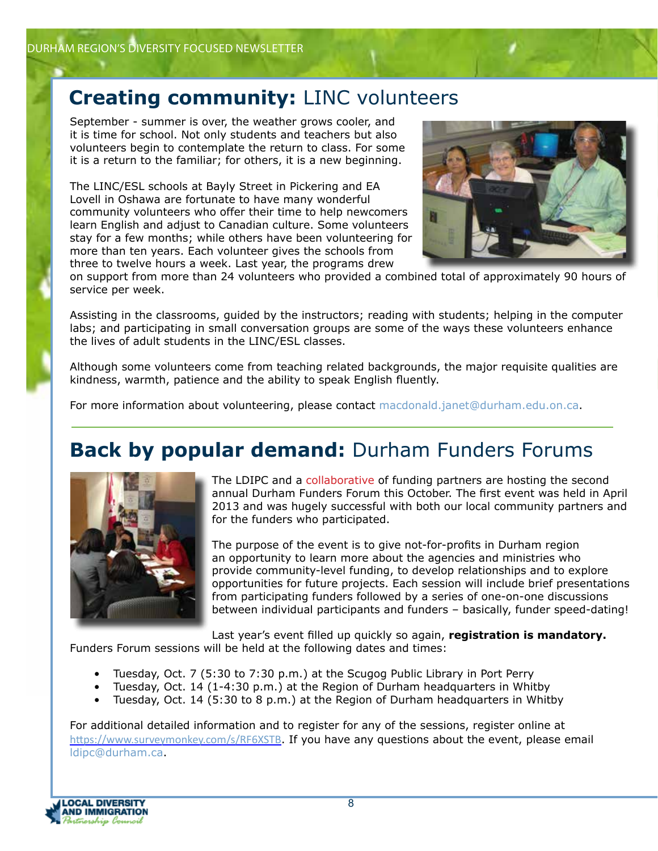#### **Creating community:** LINC volunteers

September - summer is over, the weather grows cooler, and it is time for school. Not only students and teachers but also volunteers begin to contemplate the return to class. For some it is a return to the familiar; for others, it is a new beginning.

The LINC/ESL schools at Bayly Street in Pickering and EA Lovell in Oshawa are fortunate to have many wonderful community volunteers who offer their time to help newcomers learn English and adjust to Canadian culture. Some volunteers stay for a few months; while others have been volunteering for more than ten years. Each volunteer gives the schools from three to twelve hours a week. Last year, the programs drew



on support from more than 24 volunteers who provided a combined total of approximately 90 hours of service per week.

Assisting in the classrooms, guided by the instructors; reading with students; helping in the computer labs; and participating in small conversation groups are some of the ways these volunteers enhance the lives of adult students in the LINC/ESL classes.

Although some volunteers come from teaching related backgrounds, the major requisite qualities are kindness, warmth, patience and the ability to speak English fluently.

For more information about volunteering, please contact macdonald.janet@durham.edu.on.ca.

## **Back by popular demand:** Durham Funders Forums



The LDIPC and a collaborative of funding partners are hosting the second annual Durham Funders Forum this October. The first event was held in April 2013 and was hugely successful with both our local community partners and for the funders who participated.

The purpose of the event is to give not-for-profits in Durham region an opportunity to learn more about the agencies and ministries who provide community-level funding, to develop relationships and to explore opportunities for future projects. Each session will include brief presentations from participating funders followed by a series of one-on-one discussions between individual participants and funders – basically, funder speed-dating!

Last year's event filled up quickly so again, **registration is mandatory.** Funders Forum sessions will be held at the following dates and times:

- Tuesday, Oct. 7 (5:30 to 7:30 p.m.) at the Scugog Public Library in Port Perry
- Tuesday, Oct. 14 (1-4:30 p.m.) at the Region of Durham headquarters in Whitby
- Tuesday, Oct. 14 (5:30 to 8 p.m.) at the Region of Durham headquarters in Whitby

For additional detailed information and to register for any of the sessions, register online at https://www.surveymonkey.com/s/RF6XSTB. If you have any questions about the event, please email ldipc@durham.ca.

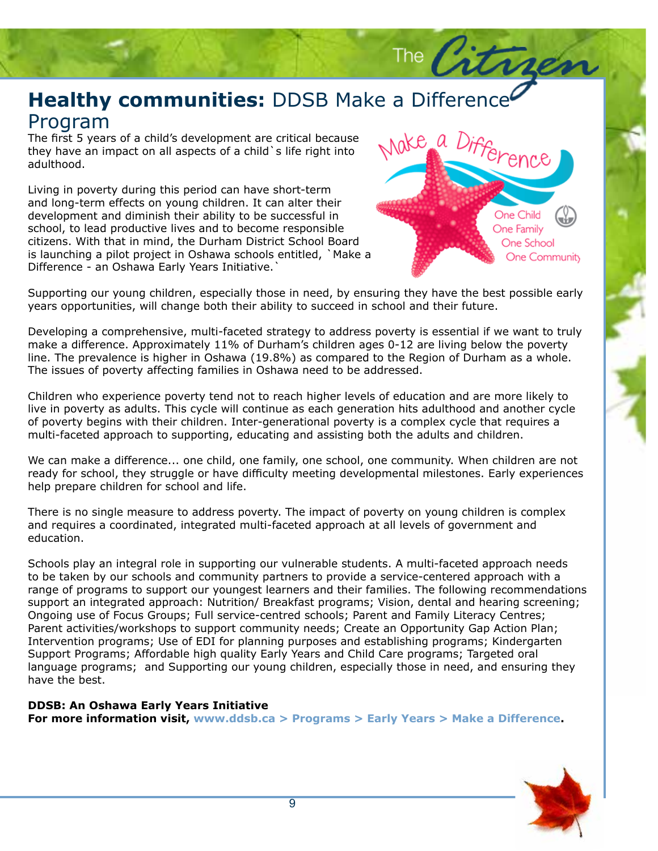#### **Healthy communities:** DDSB Make a Difference Program

The first 5 years of a child's development are critical because they have an impact on all aspects of a child`s life right into adulthood.

Living in poverty during this period can have short-term and long-term effects on young children. It can alter their development and diminish their ability to be successful in school, to lead productive lives and to become responsible citizens. With that in mind, the Durham District School Board is launching a pilot project in Oshawa schools entitled, `Make a Difference - an Oshawa Early Years Initiative.`



The  $\sqrt{2}$ 

Supporting our young children, especially those in need, by ensuring they have the best possible early years opportunities, will change both their ability to succeed in school and their future.

Developing a comprehensive, multi-faceted strategy to address poverty is essential if we want to truly make a difference. Approximately 11% of Durham's children ages 0-12 are living below the poverty line. The prevalence is higher in Oshawa (19.8%) as compared to the Region of Durham as a whole. The issues of poverty affecting families in Oshawa need to be addressed.

Children who experience poverty tend not to reach higher levels of education and are more likely to live in poverty as adults. This cycle will continue as each generation hits adulthood and another cycle of poverty begins with their children. Inter-generational poverty is a complex cycle that requires a multi-faceted approach to supporting, educating and assisting both the adults and children.

We can make a difference... one child, one family, one school, one community. When children are not ready for school, they struggle or have difficulty meeting developmental milestones. Early experiences help prepare children for school and life.

There is no single measure to address poverty. The impact of poverty on young children is complex and requires a coordinated, integrated multi-faceted approach at all levels of government and education.

Schools play an integral role in supporting our vulnerable students. A multi-faceted approach needs to be taken by our schools and community partners to provide a service-centered approach with a range of programs to support our youngest learners and their families. The following recommendations support an integrated approach: Nutrition/ Breakfast programs; Vision, dental and hearing screening; Ongoing use of Focus Groups; Full service-centred schools; Parent and Family Literacy Centres; Parent activities/workshops to support community needs; Create an Opportunity Gap Action Plan; Intervention programs; Use of EDI for planning purposes and establishing programs; Kindergarten Support Programs; Affordable high quality Early Years and Child Care programs; Targeted oral language programs; and Supporting our young children, especially those in need, and ensuring they have the best.

#### **DDSB: An Oshawa Early Years Initiative**

**For more information visit, www.ddsb.ca > Programs > Early Years > Make a Difference.**

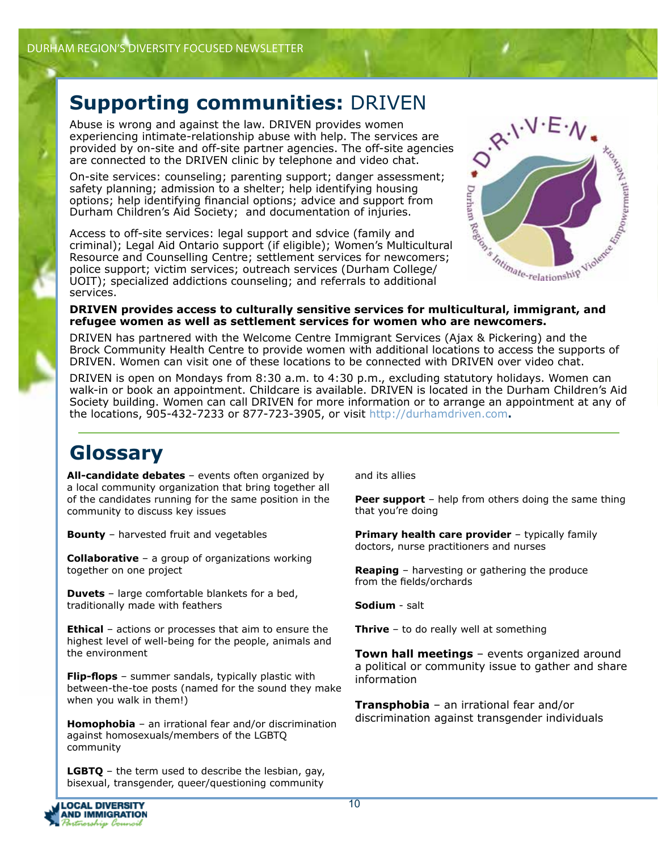### **Supporting communities:** DRIVEN

Abuse is wrong and against the law. DRIVEN provides women experiencing intimate-relationship abuse with help. The services are provided by on-site and off-site partner agencies. The off-site agencies are connected to the DRIVEN clinic by telephone and video chat.

safety planning; admission to a shelter; help identifying housing options; help identifying financial options; advice and support from Durham Children's Aid Society; and documentation of injuries.

On-site services: counseling; parenting support; danger assessment;<br>safety planning; admission to a shelter; help identifying fousing<br>options; help identifying financial options; advice and support from<br>Durham Children's A Access to off-site services: legal support and sdvice (family and criminal); Legal Aid Ontario support (if eligible); Women's Multicultural Resource and Counselling Centre; settlement services for newcomers; police support; victim services; outreach services (Durham College/ UOIT); specialized addictions counseling; and referrals to additional services.



#### **DRIVEN provides access to culturally sensitive services for multicultural, immigrant, and refugee women as well as settlement services for women who are newcomers.**

DRIVEN has partnered with the Welcome Centre Immigrant Services (Ajax & Pickering) and the Brock Community Health Centre to provide women with additional locations to access the supports of DRIVEN. Women can visit one of these locations to be connected with DRIVEN over video chat.

DRIVEN is open on Mondays from 8:30 a.m. to 4:30 p.m., excluding statutory holidays. Women can walk-in or book an appointment. Childcare is available. DRIVEN is located in the Durham Children's Aid Society building. Women can call DRIVEN for more information or to arrange an appointment at any of the locations, 905-432-7233 or 877-723-3905, or visit http://durhamdriven.com**.** 

#### **Glossary**

**All-candidate debates** – events often organized by a local community organization that bring together all of the candidates running for the same position in the community to discuss key issues

**Bounty** – harvested fruit and vegetables

**Collaborative** – a group of organizations working together on one project

**Duvets** – large comfortable blankets for a bed, traditionally made with feathers

**Ethical** – actions or processes that aim to ensure the highest level of well-being for the people, animals and the environment

**Flip-flops** – summer sandals, typically plastic with between-the-toe posts (named for the sound they make when you walk in them!)

**Homophobia** – an irrational fear and/or discrimination against homosexuals/members of the LGBTQ community

**LGBTQ** – the term used to describe the lesbian, gay, bisexual, transgender, queer/questioning community

and its allies

**Peer support** – help from others doing the same thing that you're doing

**Primary health care provider** – typically family doctors, nurse practitioners and nurses

**Reaping** – harvesting or gathering the produce from the fields/orchards

**Sodium** - salt

**Thrive** – to do really well at something

**Town hall meetings** – events organized around a political or community issue to gather and share information

**Transphobia** – an irrational fear and/or discrimination against transgender individuals

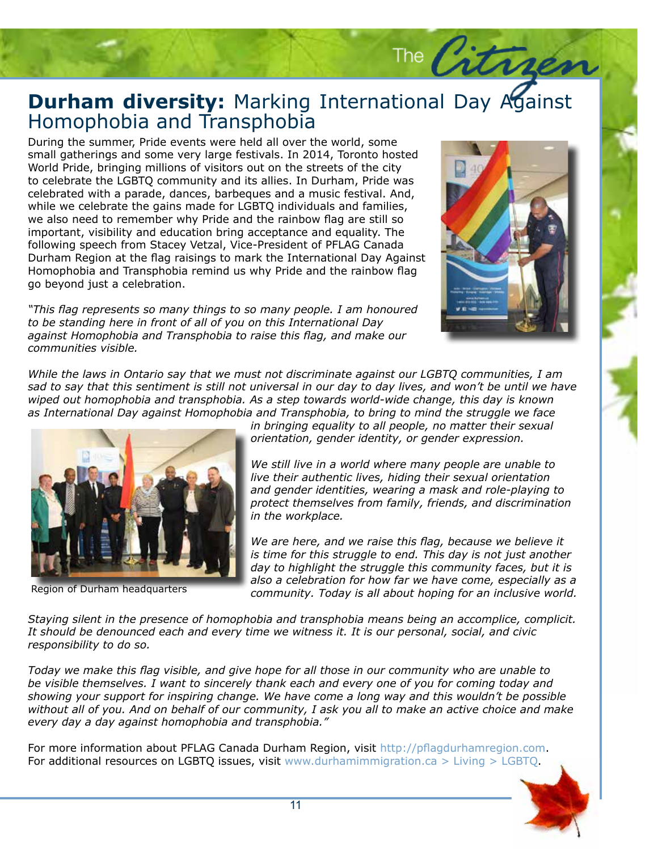#### **Durham diversity:** Marking International Day Against Homophobia and Transphobia Homophobia and Transphobia

During the summer, Pride events were held all over the world, some small gatherings and some very large festivals. In 2014, Toronto hosted World Pride, bringing millions of visitors out on the streets of the city to celebrate the LGBTQ community and its allies. In Durham, Pride was celebrated with a parade, dances, barbeques and a music festival. And, while we celebrate the gains made for LGBTQ individuals and families, we also need to remember why Pride and the rainbow flag are still so important, visibility and education bring acceptance and equality. The following speech from Stacey Vetzal, Vice-President of PFLAG Canada Durham Region at the flag raisings to mark the International Day Against Homophobia and Transphobia remind us why Pride and the rainbow flag go beyond just a celebration.

*"This flag represents so many things to so many people. I am honoured to be standing here in front of all of you on this International Day against Homophobia and Transphobia to raise this flag, and make our communities visible.*



The Citre

*While the laws in Ontario say that we must not discriminate against our LGBTQ communities, I am sad to say that this sentiment is still not universal in our day to day lives, and won't be until we have wiped out homophobia and transphobia. As a step towards world-wide change, this day is known as International Day against Homophobia and Transphobia, to bring to mind the struggle we face* 



Region of Durham headquarters

*in bringing equality to all people, no matter their sexual orientation, gender identity, or gender expression.*

*We still live in a world where many people are unable to live their authentic lives, hiding their sexual orientation and gender identities, wearing a mask and role-playing to protect themselves from family, friends, and discrimination in the workplace.*

*We are here, and we raise this flag, because we believe it is time for this struggle to end. This day is not just another day to highlight the struggle this community faces, but it is also a celebration for how far we have come, especially as a community. Today is all about hoping for an inclusive world.*

*Staying silent in the presence of homophobia and transphobia means being an accomplice, complicit. It should be denounced each and every time we witness it. It is our personal, social, and civic responsibility to do so.*

*Today we make this flag visible, and give hope for all those in our community who are unable to be visible themselves. I want to sincerely thank each and every one of you for coming today and showing your support for inspiring change. We have come a long way and this wouldn't be possible without all of you. And on behalf of our community, I ask you all to make an active choice and make every day a day against homophobia and transphobia."*

For more information about PFLAG Canada Durham Region, visit http://pflagdurhamregion.com. For additional resources on LGBTQ issues, visit www.durhamimmigration.ca > Living > LGBTQ.